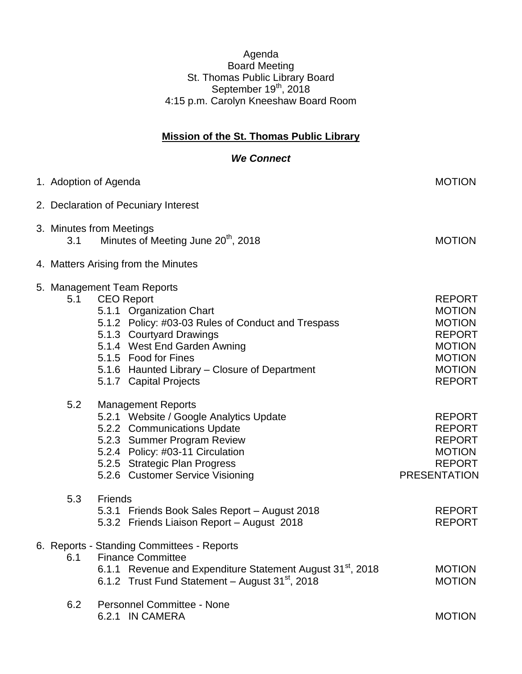## Agenda Board Meeting St. Thomas Public Library Board September  $19<sup>th</sup>$ , 2018 4:15 p.m. Carolyn Kneeshaw Board Room

## **Mission of the St. Thomas Public Library**

## *We Connect*

|     | 1. Adoption of Agenda                                                                                                                                                                                                                                                                            | <b>MOTION</b>                                                                                                                        |
|-----|--------------------------------------------------------------------------------------------------------------------------------------------------------------------------------------------------------------------------------------------------------------------------------------------------|--------------------------------------------------------------------------------------------------------------------------------------|
|     | 2. Declaration of Pecuniary Interest                                                                                                                                                                                                                                                             |                                                                                                                                      |
| 3.1 | 3. Minutes from Meetings<br>Minutes of Meeting June 20 <sup>th</sup> , 2018                                                                                                                                                                                                                      | <b>MOTION</b>                                                                                                                        |
|     | 4. Matters Arising from the Minutes                                                                                                                                                                                                                                                              |                                                                                                                                      |
| 5.1 | 5. Management Team Reports<br><b>CEO Report</b><br>5.1.1 Organization Chart<br>5.1.2 Policy: #03-03 Rules of Conduct and Trespass<br>5.1.3 Courtyard Drawings<br>5.1.4 West End Garden Awning<br>5.1.5 Food for Fines<br>5.1.6 Haunted Library - Closure of Department<br>5.1.7 Capital Projects | <b>REPORT</b><br><b>MOTION</b><br><b>MOTION</b><br><b>REPORT</b><br><b>MOTION</b><br><b>MOTION</b><br><b>MOTION</b><br><b>REPORT</b> |
| 5.2 | <b>Management Reports</b><br>5.2.1 Website / Google Analytics Update<br>5.2.2 Communications Update<br>5.2.3 Summer Program Review<br>5.2.4 Policy: #03-11 Circulation<br>5.2.5 Strategic Plan Progress<br>5.2.6 Customer Service Visioning                                                      | <b>REPORT</b><br><b>REPORT</b><br><b>REPORT</b><br><b>MOTION</b><br><b>REPORT</b><br><b>PRESENTATION</b>                             |
| 5.3 | <b>Friends</b><br>5.3.1 Friends Book Sales Report - August 2018<br>5.3.2 Friends Liaison Report - August 2018                                                                                                                                                                                    | <b>REPORT</b><br><b>REPORT</b>                                                                                                       |
| 6.1 | 6. Reports - Standing Committees - Reports<br><b>Finance Committee</b><br>6.1.1 Revenue and Expenditure Statement August 31 <sup>st</sup> , 2018<br>6.1.2 Trust Fund Statement - August 31 <sup>st</sup> , 2018                                                                                  | <b>MOTION</b><br><b>MOTION</b>                                                                                                       |
| 6.2 | <b>Personnel Committee - None</b><br>6.2.1 IN CAMERA                                                                                                                                                                                                                                             | <b>MOTION</b>                                                                                                                        |